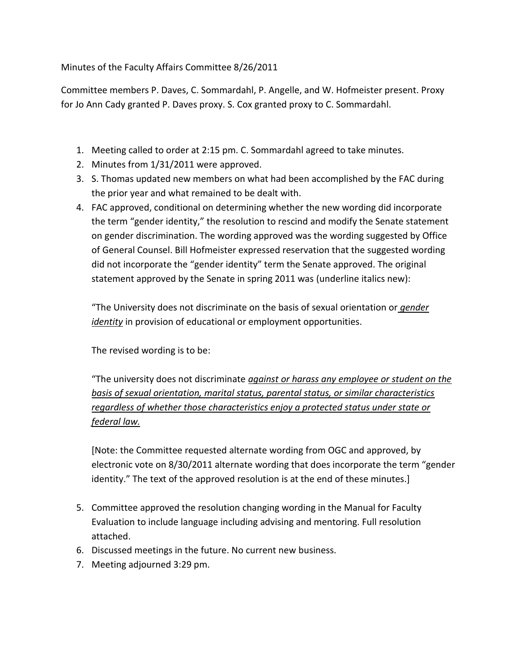Minutes of the Faculty Affairs Committee 8/26/2011

Committee members P. Daves, C. Sommardahl, P. Angelle, and W. Hofmeister present. Proxy for Jo Ann Cady granted P. Daves proxy. S. Cox granted proxy to C. Sommardahl.

- 1. Meeting called to order at 2:15 pm. C. Sommardahl agreed to take minutes.
- 2. Minutes from 1/31/2011 were approved.
- 3. S. Thomas updated new members on what had been accomplished by the FAC during the prior year and what remained to be dealt with.
- 4. FAC approved, conditional on determining whether the new wording did incorporate the term "gender identity," the resolution to rescind and modify the Senate statement on gender discrimination. The wording approved was the wording suggested by Office of General Counsel. Bill Hofmeister expressed reservation that the suggested wording did not incorporate the "gender identity" term the Senate approved. The original statement approved by the Senate in spring 2011 was (underline italics new):

"The University does not discriminate on the basis of sexual orientation or *gender identity* in provision of educational or employment opportunities.

The revised wording is to be:

"The university does not discriminate *against or harass any employee or student on the basis of sexual orientation, marital status, parental status, or similar characteristics regardless of whether those characteristics enjoy a protected status under state or federal law.* 

[Note: the Committee requested alternate wording from OGC and approved, by electronic vote on 8/30/2011 alternate wording that does incorporate the term "gender identity." The text of the approved resolution is at the end of these minutes.]

- 5. Committee approved the resolution changing wording in the Manual for Faculty Evaluation to include language including advising and mentoring. Full resolution attached.
- 6. Discussed meetings in the future. No current new business.
- 7. Meeting adjourned 3:29 pm.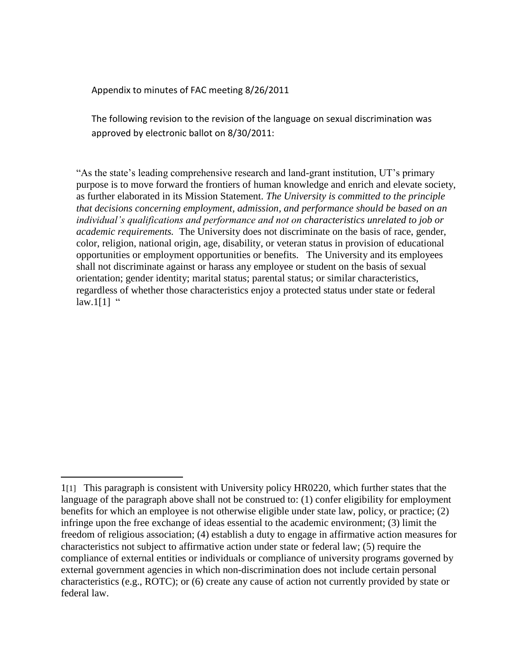Appendix to minutes of FAC meeting 8/26/2011

 $\overline{a}$ 

The following revision to the revision of the language on sexual discrimination was approved by electronic ballot on 8/30/2011:

"As the state's leading comprehensive research and land-grant institution, UT's primary purpose is to move forward the frontiers of human knowledge and enrich and elevate society, as further elaborated in its Mission Statement. *The University is committed to the principle that decisions concerning employment, admission, and performance should be based on an individual's qualifications and performance and not on characteristics unrelated to job or academic requirements.* The University does not discriminate on the basis of race, gender, color, religion, national origin, age, disability, or veteran status in provision of educational opportunities or employment opportunities or benefits. The University and its employees shall not discriminate against or harass any employee or student on the basis of sexual orientation; gender identity; marital status; parental status; or similar characteristics, regardless of whether those characteristics enjoy a protected status under state or federal law.1[1]  $\degree$ 

<sup>1</sup>[1] This paragraph is consistent with University policy HR0220, which further states that the language of the paragraph above shall not be construed to: (1) confer eligibility for employment benefits for which an employee is not otherwise eligible under state law, policy, or practice; (2) infringe upon the free exchange of ideas essential to the academic environment; (3) limit the freedom of religious association; (4) establish a duty to engage in affirmative action measures for characteristics not subject to affirmative action under state or federal law; (5) require the compliance of external entities or individuals or compliance of university programs governed by external government agencies in which non-discrimination does not include certain personal characteristics (e.g., ROTC); or (6) create any cause of action not currently provided by state or federal law.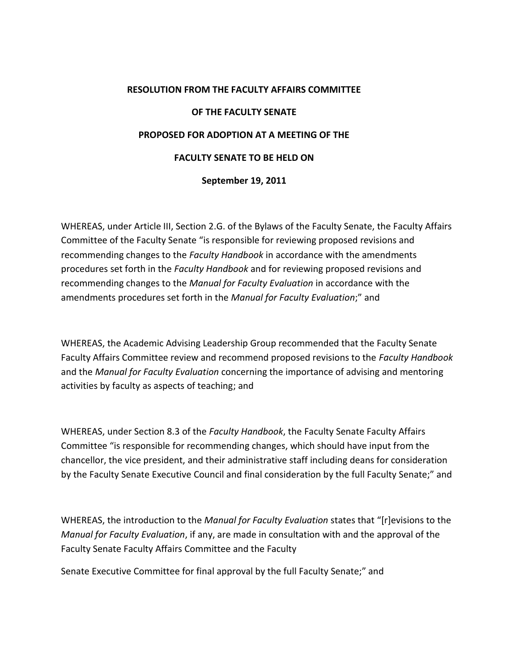## **RESOLUTION FROM THE FACULTY AFFAIRS COMMITTEE OF THE FACULTY SENATE PROPOSED FOR ADOPTION AT A MEETING OF THE FACULTY SENATE TO BE HELD ON September 19, 2011**

WHEREAS, under Article III, Section 2.G. of the Bylaws of the Faculty Senate, the Faculty Affairs Committee of the Faculty Senate "is responsible for reviewing proposed revisions and recommending changes to the *Faculty Handbook* in accordance with the amendments procedures set forth in the *Faculty Handbook* and for reviewing proposed revisions and recommending changes to the *Manual for Faculty Evaluation* in accordance with the amendments procedures set forth in the *Manual for Faculty Evaluation*;" and

WHEREAS, the Academic Advising Leadership Group recommended that the Faculty Senate Faculty Affairs Committee review and recommend proposed revisions to the *Faculty Handbook*  and the *Manual for Faculty Evaluation* concerning the importance of advising and mentoring activities by faculty as aspects of teaching; and

WHEREAS, under Section 8.3 of the *Faculty Handbook*, the Faculty Senate Faculty Affairs Committee "is responsible for recommending changes, which should have input from the chancellor, the vice president, and their administrative staff including deans for consideration by the Faculty Senate Executive Council and final consideration by the full Faculty Senate;" and

WHEREAS, the introduction to the *Manual for Faculty Evaluation* states that "[r]evisions to the *Manual for Faculty Evaluation*, if any, are made in consultation with and the approval of the Faculty Senate Faculty Affairs Committee and the Faculty

Senate Executive Committee for final approval by the full Faculty Senate;" and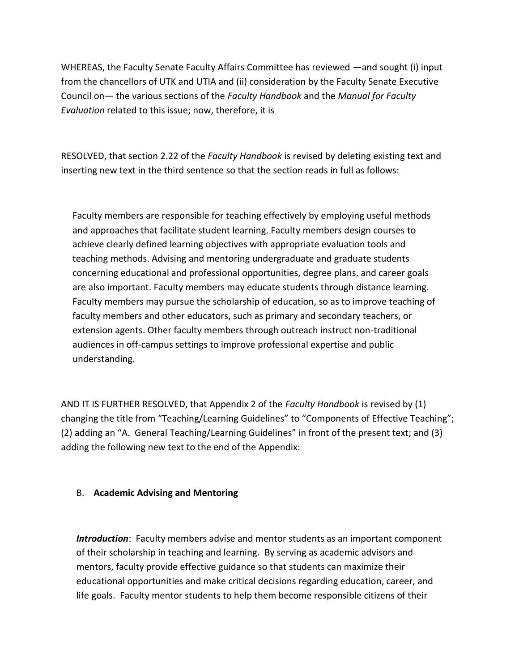WHEREAS, the Faculty Senate Faculty Affairs Committee has reviewed —and sought (i) input from the chancellors of UTK and UTIA and (ii) consideration by the Faculty Senate Executive Council on— the various sections of the *Faculty Handbook* and the *Manual for Faculty Evaluation* related to this issue; now, therefore, it is

RESOLVED, that section 2.22 of the *Faculty Handbook* is revised by deleting existing text and inserting new text in the third sentence so that the section reads in full as follows:

Faculty members are responsible for teaching effectively by employing useful methods and approaches that facilitate student learning. Faculty members design courses to achieve clearly defined learning objectives with appropriate evaluation tools and teaching methods. Advising and mentoring undergraduate and graduate students concerning educational and professional opportunities, degree plans, and career goals are also important. Faculty members may educate students through distance learning. Faculty members may pursue the scholarship of education, so as to improve teaching of faculty members and other educators, such as primary and secondary teachers, or extension agents. Other faculty members through outreach instruct non-traditional audiences in off-campus settings to improve professional expertise and public understanding.

AND IT IS FURTHER RESOLVED, that Appendix 2 of the *Faculty Handbook* is revised by (1) changing the title from "Teaching/Learning Guidelines" to "Components of Effective Teaching"; (2) adding an "A. General Teaching/Learning Guidelines" in front of the present text; and (3) adding the following new text to the end of the Appendix:

## B. **Academic Advising and Mentoring**

*Introduction*: Faculty members advise and mentor students as an important component of their scholarship in teaching and learning. By serving as academic advisors and mentors, faculty provide effective guidance so that students can maximize their educational opportunities and make critical decisions regarding education, career, and life goals. Faculty mentor students to help them become responsible citizens of their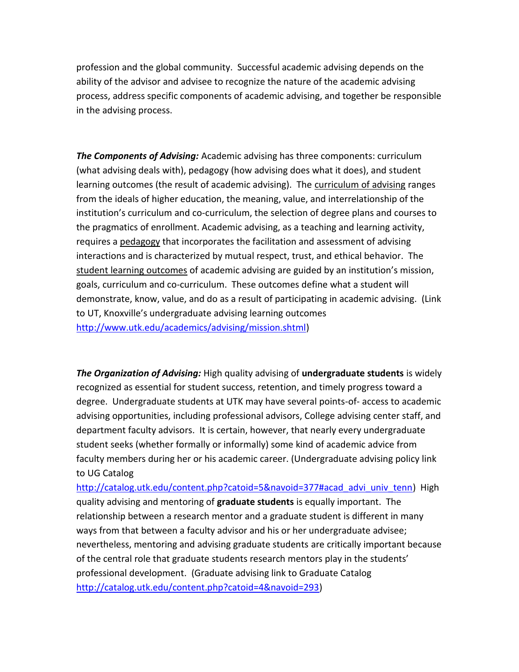profession and the global community. Successful academic advising depends on the ability of the advisor and advisee to recognize the nature of the academic advising process, address specific components of academic advising, and together be responsible in the advising process.

*The Components of Advising:* Academic advising has three components: curriculum (what advising deals with), pedagogy (how advising does what it does), and student learning outcomes (the result of academic advising). The curriculum of advising ranges from the ideals of higher education, the meaning, value, and interrelationship of the institution's curriculum and co-curriculum, the selection of degree plans and courses to the pragmatics of enrollment. Academic advising, as a teaching and learning activity, requires a pedagogy that incorporates the facilitation and assessment of advising interactions and is characterized by mutual respect, trust, and ethical behavior. The student learning outcomes of academic advising are guided by an institution's mission, goals, curriculum and co-curriculum. These outcomes define what a student will demonstrate, know, value, and do as a result of participating in academic advising. (Link to UT, Knoxville's undergraduate advising learning outcomes [http://www.utk.edu/academics/advising/mission.shtml\)](http://www.utk.edu/academics/advising/mission.shtml)

*The Organization of Advising:* High quality advising of **undergraduate students** is widely recognized as essential for student success, retention, and timely progress toward a degree. Undergraduate students at UTK may have several points-of- access to academic advising opportunities, including professional advisors, College advising center staff, and department faculty advisors. It is certain, however, that nearly every undergraduate student seeks (whether formally or informally) some kind of academic advice from faculty members during her or his academic career. (Undergraduate advising policy link to UG Catalog

[http://catalog.utk.edu/content.php?catoid=5&navoid=377#acad\\_advi\\_univ\\_tenn\)](http://catalog.utk.edu/content.php?catoid=5&navoid=377#acad_advi_univ_tenn) High quality advising and mentoring of **graduate students** is equally important. The relationship between a research mentor and a graduate student is different in many ways from that between a faculty advisor and his or her undergraduate advisee; nevertheless, mentoring and advising graduate students are critically important because of the central role that graduate students research mentors play in the students' professional development. (Graduate advising link to Graduate Catalog [http://catalog.utk.edu/content.php?catoid=4&navoid=293\)](http://catalog.utk.edu/content.php?catoid=4&navoid=293)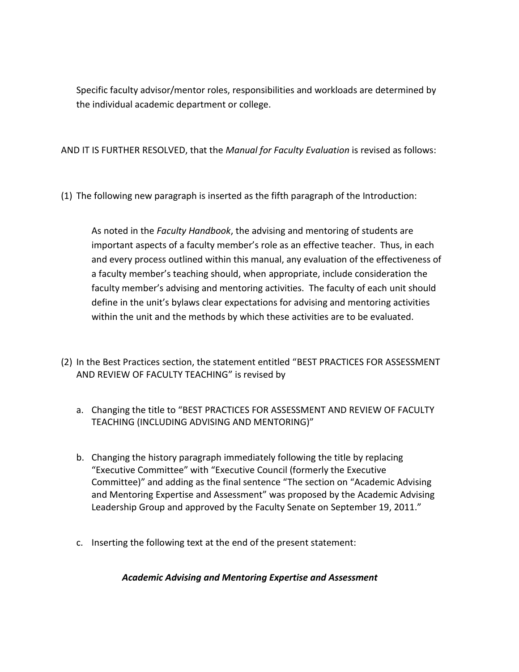Specific faculty advisor/mentor roles, responsibilities and workloads are determined by the individual academic department or college.

AND IT IS FURTHER RESOLVED, that the *Manual for Faculty Evaluation* is revised as follows:

(1) The following new paragraph is inserted as the fifth paragraph of the Introduction:

As noted in the *Faculty Handbook*, the advising and mentoring of students are important aspects of a faculty member's role as an effective teacher. Thus, in each and every process outlined within this manual, any evaluation of the effectiveness of a faculty member's teaching should, when appropriate, include consideration the faculty member's advising and mentoring activities. The faculty of each unit should define in the unit's bylaws clear expectations for advising and mentoring activities within the unit and the methods by which these activities are to be evaluated.

- (2) In the Best Practices section, the statement entitled "BEST PRACTICES FOR ASSESSMENT AND REVIEW OF FACULTY TEACHING" is revised by
	- a. Changing the title to "BEST PRACTICES FOR ASSESSMENT AND REVIEW OF FACULTY TEACHING (INCLUDING ADVISING AND MENTORING)"
	- b. Changing the history paragraph immediately following the title by replacing "Executive Committee" with "Executive Council (formerly the Executive Committee)" and adding as the final sentence "The section on "Academic Advising and Mentoring Expertise and Assessment" was proposed by the Academic Advising Leadership Group and approved by the Faculty Senate on September 19, 2011."
	- c. Inserting the following text at the end of the present statement:

*Academic Advising and Mentoring Expertise and Assessment*